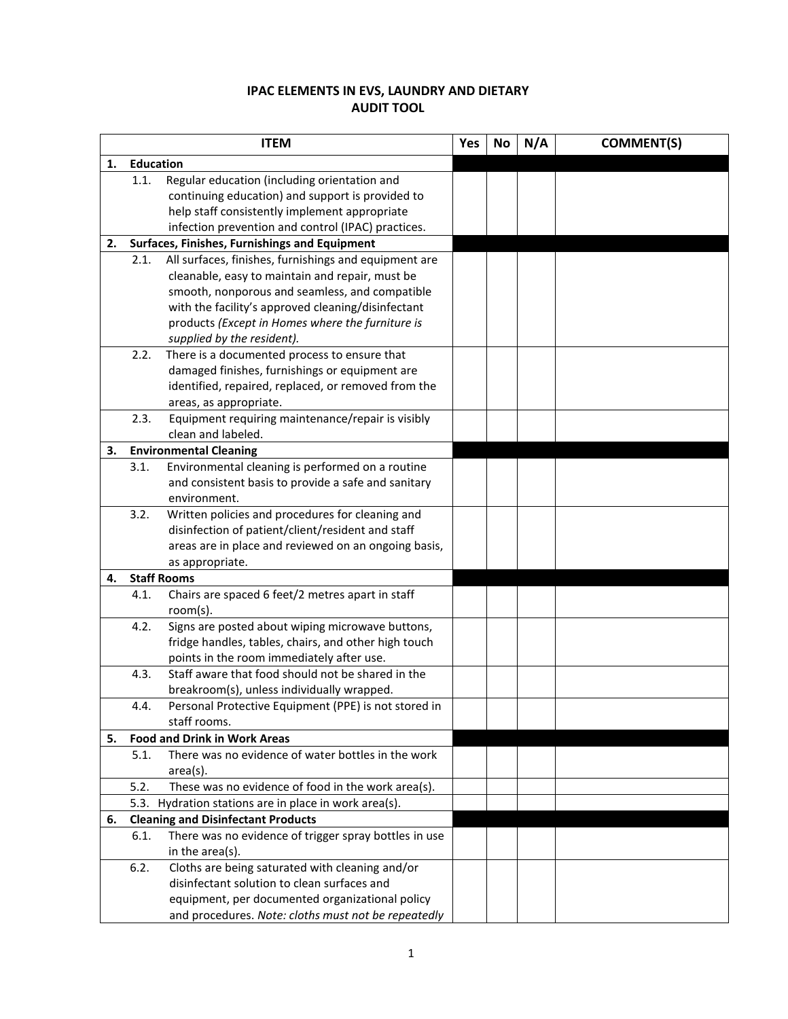# **IPAC ELEMENTS IN EVS, LAUNDRY AND DIETARY AUDIT TOOL**

|    | <b>ITEM</b>      |                                                       |  | No | N/A | <b>COMMENT(S)</b> |
|----|------------------|-------------------------------------------------------|--|----|-----|-------------------|
| 1. | <b>Education</b> |                                                       |  |    |     |                   |
|    | 1.1.             | Regular education (including orientation and          |  |    |     |                   |
|    |                  | continuing education) and support is provided to      |  |    |     |                   |
|    |                  | help staff consistently implement appropriate         |  |    |     |                   |
|    |                  | infection prevention and control (IPAC) practices.    |  |    |     |                   |
| 2. |                  | Surfaces, Finishes, Furnishings and Equipment         |  |    |     |                   |
|    | 2.1.             | All surfaces, finishes, furnishings and equipment are |  |    |     |                   |
|    |                  | cleanable, easy to maintain and repair, must be       |  |    |     |                   |
|    |                  | smooth, nonporous and seamless, and compatible        |  |    |     |                   |
|    |                  | with the facility's approved cleaning/disinfectant    |  |    |     |                   |
|    |                  | products (Except in Homes where the furniture is      |  |    |     |                   |
|    |                  | supplied by the resident).                            |  |    |     |                   |
|    | 2.2.             | There is a documented process to ensure that          |  |    |     |                   |
|    |                  | damaged finishes, furnishings or equipment are        |  |    |     |                   |
|    |                  | identified, repaired, replaced, or removed from the   |  |    |     |                   |
|    |                  | areas, as appropriate.                                |  |    |     |                   |
|    | 2.3.             | Equipment requiring maintenance/repair is visibly     |  |    |     |                   |
|    |                  | clean and labeled.                                    |  |    |     |                   |
| 3. |                  | <b>Environmental Cleaning</b>                         |  |    |     |                   |
|    | 3.1.             | Environmental cleaning is performed on a routine      |  |    |     |                   |
|    |                  | and consistent basis to provide a safe and sanitary   |  |    |     |                   |
|    |                  | environment.                                          |  |    |     |                   |
|    | 3.2.             | Written policies and procedures for cleaning and      |  |    |     |                   |
|    |                  | disinfection of patient/client/resident and staff     |  |    |     |                   |
|    |                  | areas are in place and reviewed on an ongoing basis,  |  |    |     |                   |
|    |                  | as appropriate.                                       |  |    |     |                   |
| 4. |                  | <b>Staff Rooms</b>                                    |  |    |     |                   |
|    | 4.1.             | Chairs are spaced 6 feet/2 metres apart in staff      |  |    |     |                   |
|    |                  | room(s).                                              |  |    |     |                   |
|    | 4.2.             | Signs are posted about wiping microwave buttons,      |  |    |     |                   |
|    |                  | fridge handles, tables, chairs, and other high touch  |  |    |     |                   |
|    |                  | points in the room immediately after use.             |  |    |     |                   |
|    | 4.3.             | Staff aware that food should not be shared in the     |  |    |     |                   |
|    |                  | breakroom(s), unless individually wrapped.            |  |    |     |                   |
|    | 4.4.             | Personal Protective Equipment (PPE) is not stored in  |  |    |     |                   |
|    |                  | staff rooms.                                          |  |    |     |                   |
| 5. |                  | <b>Food and Drink in Work Areas</b>                   |  |    |     |                   |
|    | 5.1.             | There was no evidence of water bottles in the work    |  |    |     |                   |
|    |                  | $area(s)$ .                                           |  |    |     |                   |
|    | 5.2.             | These was no evidence of food in the work area(s).    |  |    |     |                   |
|    |                  | 5.3. Hydration stations are in place in work area(s). |  |    |     |                   |
| 6. |                  | <b>Cleaning and Disinfectant Products</b>             |  |    |     |                   |
|    | 6.1.             | There was no evidence of trigger spray bottles in use |  |    |     |                   |
|    |                  | in the area(s).                                       |  |    |     |                   |
|    | 6.2.             | Cloths are being saturated with cleaning and/or       |  |    |     |                   |
|    |                  | disinfectant solution to clean surfaces and           |  |    |     |                   |
|    |                  | equipment, per documented organizational policy       |  |    |     |                   |
|    |                  | and procedures. Note: cloths must not be repeatedly   |  |    |     |                   |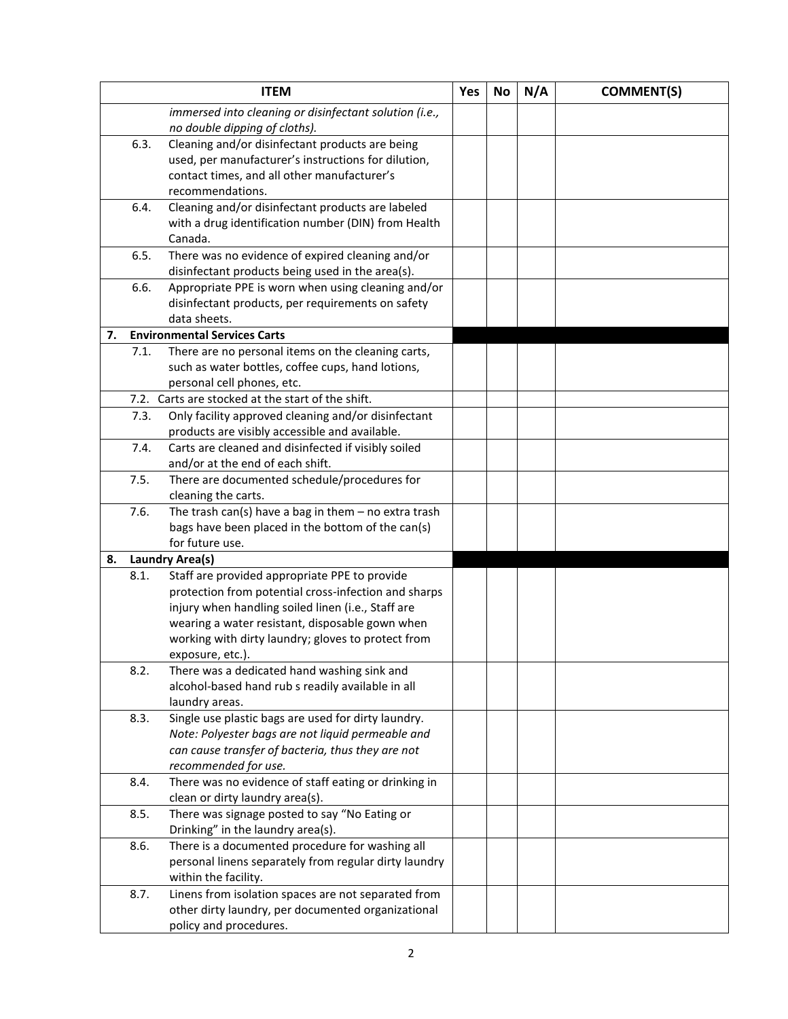|    |      | <b>ITEM</b>                                                                                      | Yes | <b>No</b> | N/A | <b>COMMENT(S)</b> |
|----|------|--------------------------------------------------------------------------------------------------|-----|-----------|-----|-------------------|
|    |      | immersed into cleaning or disinfectant solution (i.e.,                                           |     |           |     |                   |
|    |      | no double dipping of cloths).                                                                    |     |           |     |                   |
|    | 6.3. | Cleaning and/or disinfectant products are being                                                  |     |           |     |                   |
|    |      | used, per manufacturer's instructions for dilution,                                              |     |           |     |                   |
|    |      | contact times, and all other manufacturer's                                                      |     |           |     |                   |
|    |      | recommendations.                                                                                 |     |           |     |                   |
|    | 6.4. | Cleaning and/or disinfectant products are labeled                                                |     |           |     |                   |
|    |      | with a drug identification number (DIN) from Health                                              |     |           |     |                   |
|    |      | Canada.                                                                                          |     |           |     |                   |
|    | 6.5. | There was no evidence of expired cleaning and/or                                                 |     |           |     |                   |
|    |      | disinfectant products being used in the area(s).                                                 |     |           |     |                   |
|    | 6.6. | Appropriate PPE is worn when using cleaning and/or                                               |     |           |     |                   |
|    |      | disinfectant products, per requirements on safety                                                |     |           |     |                   |
|    |      | data sheets.                                                                                     |     |           |     |                   |
| 7. |      | <b>Environmental Services Carts</b>                                                              |     |           |     |                   |
|    | 7.1. | There are no personal items on the cleaning carts,                                               |     |           |     |                   |
|    |      | such as water bottles, coffee cups, hand lotions,                                                |     |           |     |                   |
|    |      | personal cell phones, etc.                                                                       |     |           |     |                   |
|    |      | 7.2. Carts are stocked at the start of the shift.                                                |     |           |     |                   |
|    | 7.3. | Only facility approved cleaning and/or disinfectant                                              |     |           |     |                   |
|    |      | products are visibly accessible and available.                                                   |     |           |     |                   |
|    | 7.4. | Carts are cleaned and disinfected if visibly soiled                                              |     |           |     |                   |
|    |      | and/or at the end of each shift.                                                                 |     |           |     |                   |
|    | 7.5. | There are documented schedule/procedures for                                                     |     |           |     |                   |
|    |      | cleaning the carts.                                                                              |     |           |     |                   |
|    | 7.6. | The trash can(s) have a bag in them $-$ no extra trash                                           |     |           |     |                   |
|    |      | bags have been placed in the bottom of the can(s)                                                |     |           |     |                   |
|    |      | for future use.                                                                                  |     |           |     |                   |
| 8. |      | <b>Laundry Area(s)</b>                                                                           |     |           |     |                   |
|    | 8.1. | Staff are provided appropriate PPE to provide                                                    |     |           |     |                   |
|    |      | protection from potential cross-infection and sharps                                             |     |           |     |                   |
|    |      | injury when handling soiled linen (i.e., Staff are                                               |     |           |     |                   |
|    |      | wearing a water resistant, disposable gown when                                                  |     |           |     |                   |
|    |      | working with dirty laundry; gloves to protect from                                               |     |           |     |                   |
|    |      | exposure, etc.).                                                                                 |     |           |     |                   |
|    | 8.2. | There was a dedicated hand washing sink and<br>alcohol-based hand rub s readily available in all |     |           |     |                   |
|    |      | laundry areas.                                                                                   |     |           |     |                   |
|    | 8.3. | Single use plastic bags are used for dirty laundry.                                              |     |           |     |                   |
|    |      | Note: Polyester bags are not liquid permeable and                                                |     |           |     |                   |
|    |      | can cause transfer of bacteria, thus they are not                                                |     |           |     |                   |
|    |      | recommended for use.                                                                             |     |           |     |                   |
|    | 8.4. | There was no evidence of staff eating or drinking in                                             |     |           |     |                   |
|    |      | clean or dirty laundry area(s).                                                                  |     |           |     |                   |
|    | 8.5. | There was signage posted to say "No Eating or                                                    |     |           |     |                   |
|    |      | Drinking" in the laundry area(s).                                                                |     |           |     |                   |
|    | 8.6. | There is a documented procedure for washing all                                                  |     |           |     |                   |
|    |      | personal linens separately from regular dirty laundry                                            |     |           |     |                   |
|    |      | within the facility.                                                                             |     |           |     |                   |
|    | 8.7. | Linens from isolation spaces are not separated from                                              |     |           |     |                   |
|    |      | other dirty laundry, per documented organizational                                               |     |           |     |                   |
|    |      | policy and procedures.                                                                           |     |           |     |                   |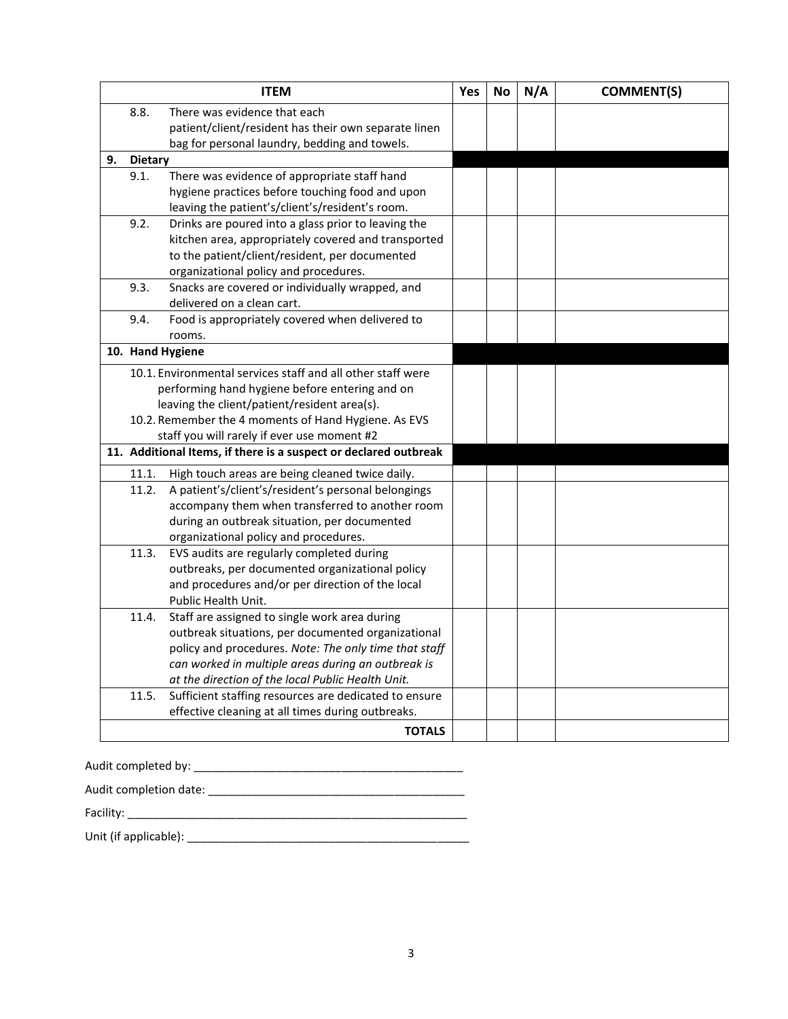|    |                | <b>ITEM</b>                                                      | Yes | <b>No</b> | N/A | <b>COMMENT(S)</b> |
|----|----------------|------------------------------------------------------------------|-----|-----------|-----|-------------------|
|    | 8.8.           | There was evidence that each                                     |     |           |     |                   |
|    |                | patient/client/resident has their own separate linen             |     |           |     |                   |
|    |                | bag for personal laundry, bedding and towels.                    |     |           |     |                   |
| 9. | <b>Dietary</b> |                                                                  |     |           |     |                   |
|    | 9.1.           | There was evidence of appropriate staff hand                     |     |           |     |                   |
|    |                | hygiene practices before touching food and upon                  |     |           |     |                   |
|    |                | leaving the patient's/client's/resident's room.                  |     |           |     |                   |
|    | 9.2.           | Drinks are poured into a glass prior to leaving the              |     |           |     |                   |
|    |                | kitchen area, appropriately covered and transported              |     |           |     |                   |
|    |                | to the patient/client/resident, per documented                   |     |           |     |                   |
|    |                | organizational policy and procedures.                            |     |           |     |                   |
|    | 9.3.           | Snacks are covered or individually wrapped, and                  |     |           |     |                   |
|    |                | delivered on a clean cart.                                       |     |           |     |                   |
|    | 9.4.           | Food is appropriately covered when delivered to                  |     |           |     |                   |
|    |                | rooms.                                                           |     |           |     |                   |
|    |                | 10. Hand Hygiene                                                 |     |           |     |                   |
|    |                | 10.1. Environmental services staff and all other staff were      |     |           |     |                   |
|    |                | performing hand hygiene before entering and on                   |     |           |     |                   |
|    |                | leaving the client/patient/resident area(s).                     |     |           |     |                   |
|    |                | 10.2. Remember the 4 moments of Hand Hygiene. As EVS             |     |           |     |                   |
|    |                | staff you will rarely if ever use moment #2                      |     |           |     |                   |
|    |                | 11. Additional Items, if there is a suspect or declared outbreak |     |           |     |                   |
|    | 11.1.          | High touch areas are being cleaned twice daily.                  |     |           |     |                   |
|    | 11.2.          | A patient's/client's/resident's personal belongings              |     |           |     |                   |
|    |                | accompany them when transferred to another room                  |     |           |     |                   |
|    |                | during an outbreak situation, per documented                     |     |           |     |                   |
|    |                | organizational policy and procedures.                            |     |           |     |                   |
|    | 11.3.          | EVS audits are regularly completed during                        |     |           |     |                   |
|    |                | outbreaks, per documented organizational policy                  |     |           |     |                   |
|    |                | and procedures and/or per direction of the local                 |     |           |     |                   |
|    |                | Public Health Unit.                                              |     |           |     |                   |
|    | 11.4.          | Staff are assigned to single work area during                    |     |           |     |                   |
|    |                | outbreak situations, per documented organizational               |     |           |     |                   |
|    |                | policy and procedures. Note: The only time that staff            |     |           |     |                   |
|    |                | can worked in multiple areas during an outbreak is               |     |           |     |                   |
|    |                | at the direction of the local Public Health Unit.                |     |           |     |                   |
|    | 11.5.          | Sufficient staffing resources are dedicated to ensure            |     |           |     |                   |
|    |                | effective cleaning at all times during outbreaks.                |     |           |     |                   |
|    |                | <b>TOTALS</b>                                                    |     |           |     |                   |

Audit completed by: \_\_\_\_\_\_\_\_\_\_\_\_\_\_\_\_\_\_\_\_\_\_\_\_\_\_\_\_\_\_\_\_\_\_\_\_\_\_\_\_\_\_

Audit completion date: \_\_\_\_\_\_\_\_\_\_\_\_\_\_\_\_\_\_\_\_\_\_\_\_\_\_\_\_\_\_\_\_\_\_\_\_\_\_\_\_

Facility: \_\_\_\_\_\_\_\_\_\_\_\_\_\_\_\_\_\_\_\_\_\_\_\_\_\_\_\_\_\_\_\_\_\_\_\_\_\_\_\_\_\_\_\_\_\_\_\_\_\_\_\_\_

Unit (if applicable): \_\_\_\_\_\_\_\_\_\_\_\_\_\_\_\_\_\_\_\_\_\_\_\_\_\_\_\_\_\_\_\_\_\_\_\_\_\_\_\_\_\_\_\_